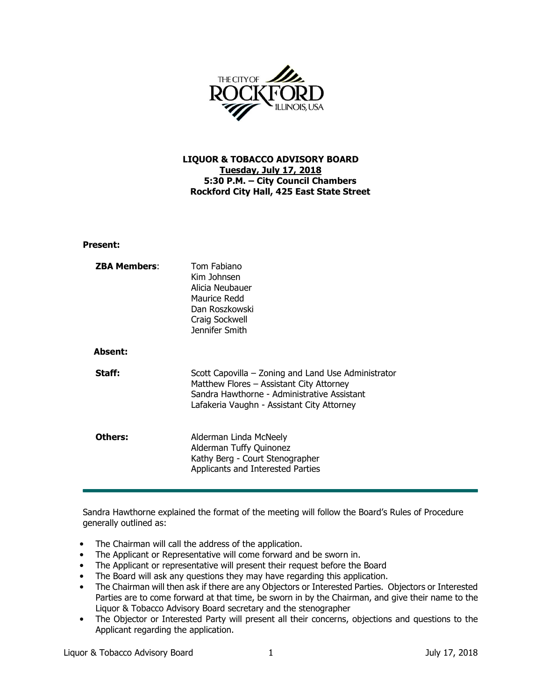

## LIQUOR & TOBACCO ADVISORY BOARD Tuesday, July 17, 2018 5:30 P.M. – City Council Chambers Rockford City Hall, 425 East State Street

## Present:

| <b>ZBA Members:</b> | Tom Fabiano<br>Kim Johnsen<br>Alicia Neubauer<br>Maurice Redd<br>Dan Roszkowski<br>Craig Sockwell<br>Jennifer Smith                                                                          |
|---------------------|----------------------------------------------------------------------------------------------------------------------------------------------------------------------------------------------|
| <b>Absent:</b>      |                                                                                                                                                                                              |
| Staff:              | Scott Capovilla – Zoning and Land Use Administrator<br>Matthew Flores - Assistant City Attorney<br>Sandra Hawthorne - Administrative Assistant<br>Lafakeria Vaughn - Assistant City Attorney |
| Others:             | Alderman Linda McNeely<br>Alderman Tuffy Quinonez<br>Kathy Berg - Court Stenographer<br>Applicants and Interested Parties                                                                    |

Sandra Hawthorne explained the format of the meeting will follow the Board's Rules of Procedure generally outlined as:

- The Chairman will call the address of the application.
- The Applicant or Representative will come forward and be sworn in.
- The Applicant or representative will present their request before the Board
- The Board will ask any questions they may have regarding this application.
- The Chairman will then ask if there are any Objectors or Interested Parties. Objectors or Interested Parties are to come forward at that time, be sworn in by the Chairman, and give their name to the Liquor & Tobacco Advisory Board secretary and the stenographer
- The Objector or Interested Party will present all their concerns, objections and questions to the Applicant regarding the application.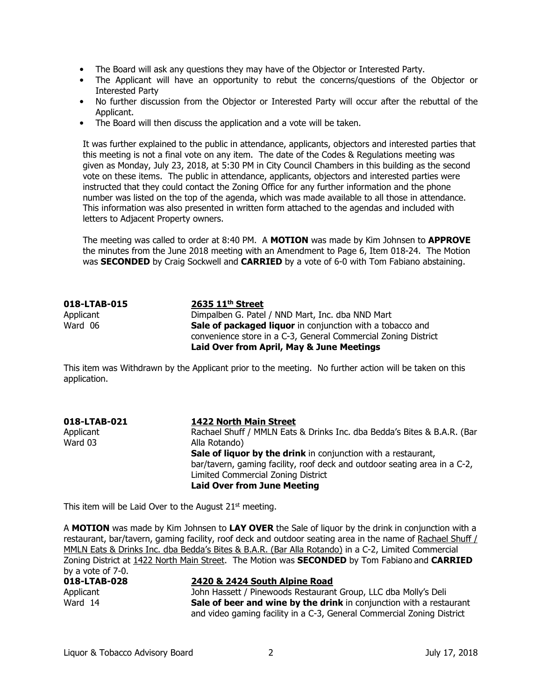- The Board will ask any questions they may have of the Objector or Interested Party.
- The Applicant will have an opportunity to rebut the concerns/questions of the Objector or Interested Party
- No further discussion from the Objector or Interested Party will occur after the rebuttal of the Applicant.
- The Board will then discuss the application and a vote will be taken.

It was further explained to the public in attendance, applicants, objectors and interested parties that this meeting is not a final vote on any item. The date of the Codes & Regulations meeting was given as Monday, July 23, 2018, at 5:30 PM in City Council Chambers in this building as the second vote on these items. The public in attendance, applicants, objectors and interested parties were instructed that they could contact the Zoning Office for any further information and the phone number was listed on the top of the agenda, which was made available to all those in attendance. This information was also presented in written form attached to the agendas and included with letters to Adjacent Property owners.

The meeting was called to order at 8:40 PM. A MOTION was made by Kim Johnsen to APPROVE the minutes from the June 2018 meeting with an Amendment to Page 6, Item 018-24. The Motion was **SECONDED** by Craig Sockwell and **CARRIED** by a vote of 6-0 with Tom Fabiano abstaining.

| 018-LTAB-015 | $2635$ $11th$ Street                                             |
|--------------|------------------------------------------------------------------|
| Applicant    | Dimpalben G. Patel / NND Mart, Inc. dba NND Mart                 |
| Ward 06      | <b>Sale of packaged liquor</b> in conjunction with a tobacco and |
|              | convenience store in a C-3, General Commercial Zoning District   |
|              | Laid Over from April, May & June Meetings                        |

This item was Withdrawn by the Applicant prior to the meeting. No further action will be taken on this application.

| 018-LTAB-021 | <b>1422 North Main Street</b>                                             |
|--------------|---------------------------------------------------------------------------|
| Applicant    | Rachael Shuff / MMLN Eats & Drinks Inc. dba Bedda's Bites & B.A.R. (Bar   |
| Ward 03      | Alla Rotando)                                                             |
|              | <b>Sale of liquor by the drink</b> in conjunction with a restaurant,      |
|              | bar/tavern, gaming facility, roof deck and outdoor seating area in a C-2, |
|              | Limited Commercial Zoning District                                        |
|              | <b>Laid Over from June Meeting</b>                                        |
|              |                                                                           |

This item will be Laid Over to the August  $21<sup>st</sup>$  meeting.

A MOTION was made by Kim Johnsen to LAY OVER the Sale of liquor by the drink in conjunction with a restaurant, bar/tavern, gaming facility, roof deck and outdoor seating area in the name of Rachael Shuff / MMLN Eats & Drinks Inc. dba Bedda's Bites & B.A.R. (Bar Alla Rotando) in a C-2, Limited Commercial Zoning District at 1422 North Main Street. The Motion was **SECONDED** by Tom Fabiano and CARRIED by a vote of 7-0.

| 018-LTAB-028 | 2420 & 2424 South Alpine Road                                              |
|--------------|----------------------------------------------------------------------------|
| Applicant    | John Hassett / Pinewoods Restaurant Group, LLC dba Molly's Deli            |
| Ward 14      | <b>Sale of beer and wine by the drink</b> in conjunction with a restaurant |
|              | and video gaming facility in a C-3, General Commercial Zoning District     |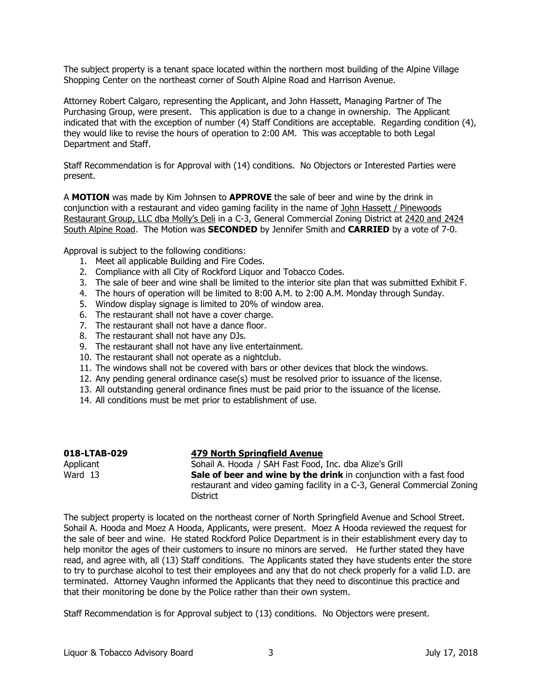The subject property is a tenant space located within the northern most building of the Alpine Village Shopping Center on the northeast corner of South Alpine Road and Harrison Avenue.

Attorney Robert Calgaro, representing the Applicant, and John Hassett, Managing Partner of The Purchasing Group, were present. This application is due to a change in ownership. The Applicant indicated that with the exception of number (4) Staff Conditions are acceptable. Regarding condition (4), they would like to revise the hours of operation to 2:00 AM. This was acceptable to both Legal Department and Staff.

Staff Recommendation is for Approval with (14) conditions. No Objectors or Interested Parties were present.

A MOTION was made by Kim Johnsen to APPROVE the sale of beer and wine by the drink in conjunction with a restaurant and video gaming facility in the name of John Hassett / Pinewoods Restaurant Group, LLC dba Molly's Deli in a C-3, General Commercial Zoning District at 2420 and 2424 South Alpine Road. The Motion was **SECONDED** by Jennifer Smith and **CARRIED** by a vote of 7-0.

Approval is subject to the following conditions:

- 1. Meet all applicable Building and Fire Codes.
- 2. Compliance with all City of Rockford Liquor and Tobacco Codes.
- 3. The sale of beer and wine shall be limited to the interior site plan that was submitted Exhibit F.
- 4. The hours of operation will be limited to 8:00 A.M. to 2:00 A.M. Monday through Sunday.
- 5. Window display signage is limited to 20% of window area.
- 6. The restaurant shall not have a cover charge.
- 7. The restaurant shall not have a dance floor.
- 8. The restaurant shall not have any DJs.
- 9. The restaurant shall not have any live entertainment.
- 10. The restaurant shall not operate as a nightclub.
- 11. The windows shall not be covered with bars or other devices that block the windows.
- 12. Any pending general ordinance case(s) must be resolved prior to issuance of the license.
- 13. All outstanding general ordinance fines must be paid prior to the issuance of the license.
- 14. All conditions must be met prior to establishment of use.

| 018-LTAB-029 | <b>479 North Springfield Avenue</b>                                                                                                                   |
|--------------|-------------------------------------------------------------------------------------------------------------------------------------------------------|
| Applicant    | Sohail A. Hooda / SAH Fast Food, Inc. dba Alize's Grill                                                                                               |
| Ward 13      | <b>Sale of beer and wine by the drink</b> in conjunction with a fast food<br>restaurant and video gaming facility in a C-3, General Commercial Zoning |
|              | District                                                                                                                                              |

The subject property is located on the northeast corner of North Springfield Avenue and School Street. Sohail A. Hooda and Moez A Hooda, Applicants, were present. Moez A Hooda reviewed the request for the sale of beer and wine. He stated Rockford Police Department is in their establishment every day to help monitor the ages of their customers to insure no minors are served. He further stated they have read, and agree with, all (13) Staff conditions. The Applicants stated they have students enter the store to try to purchase alcohol to test their employees and any that do not check properly for a valid I.D. are terminated. Attorney Vaughn informed the Applicants that they need to discontinue this practice and that their monitoring be done by the Police rather than their own system.

Staff Recommendation is for Approval subject to (13) conditions. No Objectors were present.